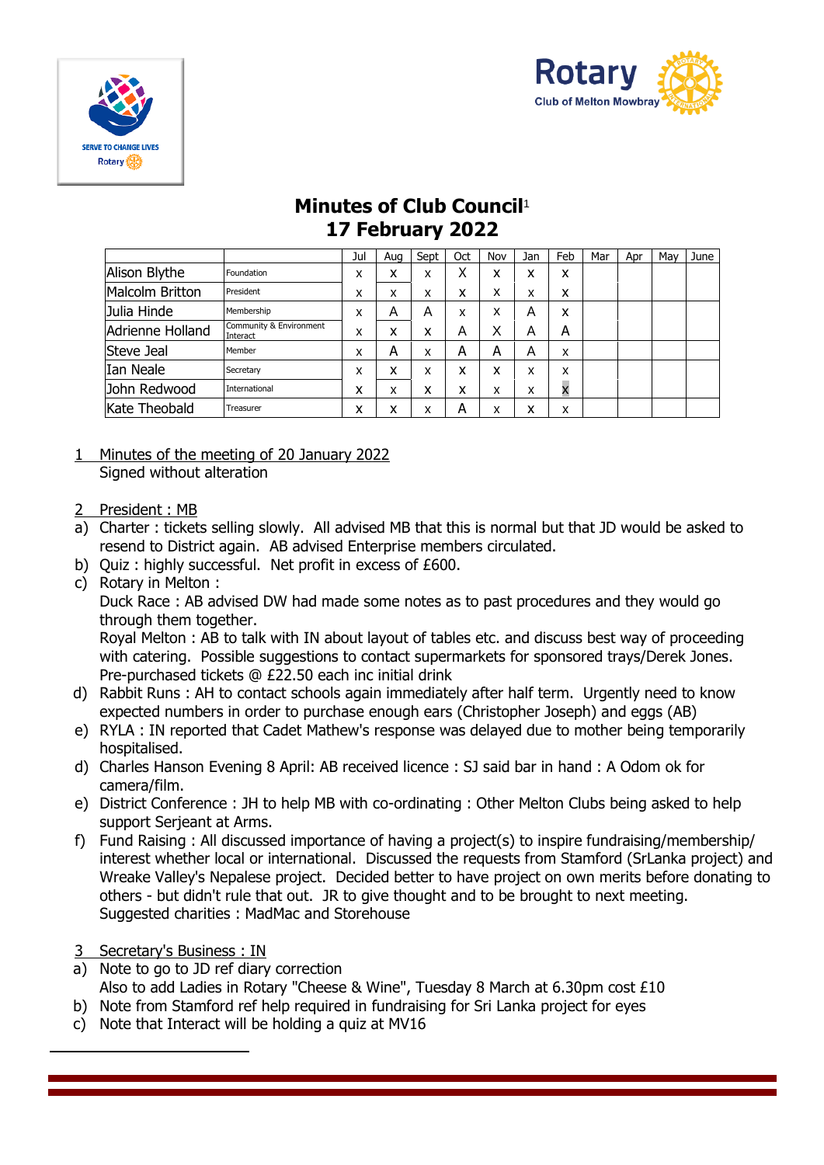



## **Minutes of Club Council**<sup>1</sup> **17 February 2022**

|                  |                                     | Jul | Aua | Sept | Oct | Nov | Jan | Feb | Mar | Apr | Mav | June |
|------------------|-------------------------------------|-----|-----|------|-----|-----|-----|-----|-----|-----|-----|------|
| Alison Blythe    | Foundation                          | x   | x   | x    | Χ   | x   | x   | x   |     |     |     |      |
| Malcolm Britton  | President                           | x   | x   | x    | x   | х   | x   | x   |     |     |     |      |
| Julia Hinde      | Membership                          | x   | Α   | Α    | X   | х   | Α   | x   |     |     |     |      |
| Adrienne Holland | Community & Environment<br>Interact | x   | x   | x    | Α   | X   | Α   | А   |     |     |     |      |
| Steve Jeal       | Member                              | x   | А   | x    | A   | А   | Α   | x   |     |     |     |      |
| Ian Neale        | Secretary                           | x   | x   | x    | x   | х   | x   | x   |     |     |     |      |
| John Redwood     | International                       | x   | x   | x    | x   | x   | x   | X   |     |     |     |      |
| Kate Theobald    | Treasurer                           | x   | x   | x    | А   | x   | x   | x   |     |     |     |      |

- 1 Minutes of the meeting of 20 January 2022 Signed without alteration
- 2 President : MB
- a) Charter : tickets selling slowly. All advised MB that this is normal but that JD would be asked to resend to District again. AB advised Enterprise members circulated.
- b) Quiz : highly successful. Net profit in excess of £600.
- c) Rotary in Melton :

Duck Race : AB advised DW had made some notes as to past procedures and they would go through them together.

Royal Melton : AB to talk with IN about layout of tables etc. and discuss best way of proceeding with catering. Possible suggestions to contact supermarkets for sponsored trays/Derek Jones. Pre-purchased tickets @ £22.50 each inc initial drink

- d) Rabbit Runs : AH to contact schools again immediately after half term. Urgently need to know expected numbers in order to purchase enough ears (Christopher Joseph) and eggs (AB)
- e) RYLA : IN reported that Cadet Mathew's response was delayed due to mother being temporarily hospitalised.
- d) Charles Hanson Evening 8 April: AB received licence : SJ said bar in hand : A Odom ok for camera/film.
- e) District Conference : JH to help MB with co-ordinating : Other Melton Clubs being asked to help support Serjeant at Arms.
- f) Fund Raising : All discussed importance of having a project(s) to inspire fundraising/membership/ interest whether local or international. Discussed the requests from Stamford (SrLanka project) and Wreake Valley's Nepalese project. Decided better to have project on own merits before donating to others - but didn't rule that out. JR to give thought and to be brought to next meeting. Suggested charities : MadMac and Storehouse
- 3 Secretary's Business : IN
- a) Note to go to JD ref diary correction Also to add Ladies in Rotary "Cheese & Wine", Tuesday 8 March at 6.30pm cost £10
- b) Note from Stamford ref help required in fundraising for Sri Lanka project for eyes
- c) Note that Interact will be holding a quiz at MV16